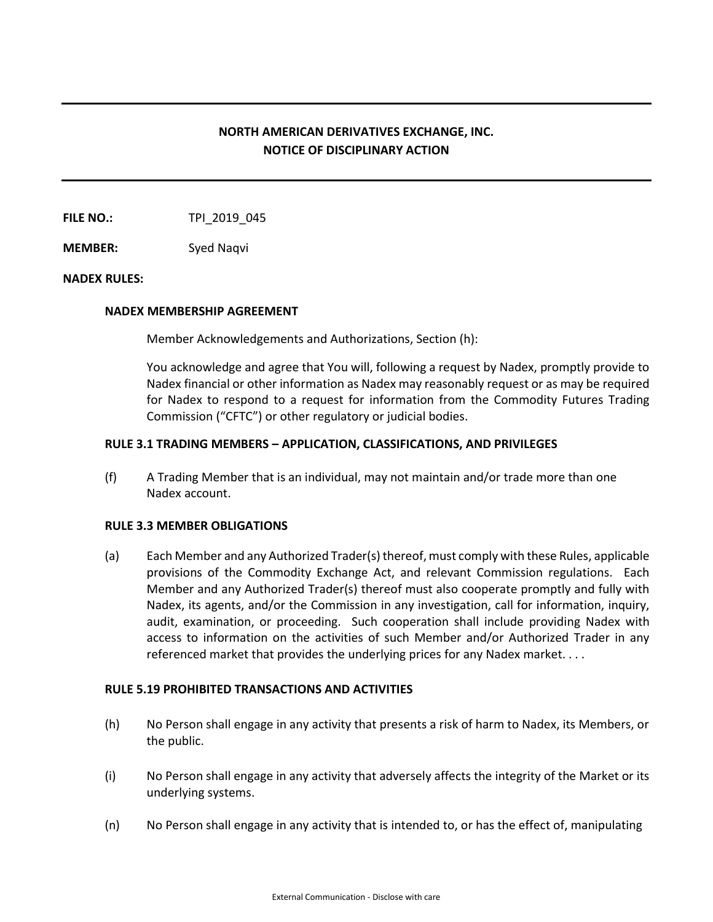# **NORTH AMERICAN DERIVATIVES EXCHANGE, INC. NOTICE OF DISCIPLINARY ACTION**

**FILE NO.:** TPI 2019 045

**MEMBER:** Syed Naqvi

## **NADEX RULES:**

### **NADEX MEMBERSHIP AGREEMENT**

Member Acknowledgements and Authorizations, Section (h):

You acknowledge and agree that You will, following a request by Nadex, promptly provide to Nadex financial or other information as Nadex may reasonably request or as may be required for Nadex to respond to a request for information from the Commodity Futures Trading Commission ("CFTC") or other regulatory or judicial bodies.

## **RULE 3.1 TRADING MEMBERS – APPLICATION, CLASSIFICATIONS, AND PRIVILEGES**

(f) A Trading Member that is an individual, may not maintain and/or trade more than one Nadex account.

## **RULE 3.3 MEMBER OBLIGATIONS**

(a) Each Member and any Authorized Trader(s) thereof, must comply with these Rules, applicable provisions of the Commodity Exchange Act, and relevant Commission regulations. Each Member and any Authorized Trader(s) thereof must also cooperate promptly and fully with Nadex, its agents, and/or the Commission in any investigation, call for information, inquiry, audit, examination, or proceeding. Such cooperation shall include providing Nadex with access to information on the activities of such Member and/or Authorized Trader in any referenced market that provides the underlying prices for any Nadex market. . . .

## **RULE 5.19 PROHIBITED TRANSACTIONS AND ACTIVITIES**

- (h) No Person shall engage in any activity that presents a risk of harm to Nadex, its Members, or the public.
- (i) No Person shall engage in any activity that adversely affects the integrity of the Market or its underlying systems.
- (n) No Person shall engage in any activity that is intended to, or has the effect of, manipulating